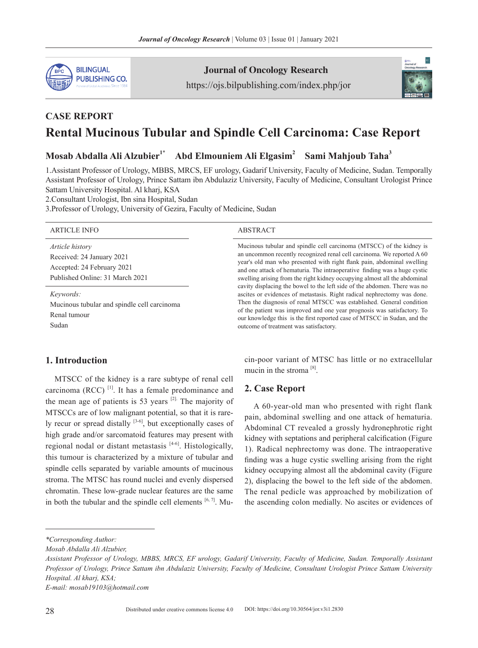

## Journal of Oncology Research

https://ojs.bilpublishing.com/index.php/jor

Mucinous tubular and spindle cell carcinoma (MTSCC) of the kidney is an uncommon recently recognized renal cell carcinoma. We reported A 60 year's old man who presented with right flank pain, abdominal swelling and one attack of hematuria. The intraoperative finding was a huge cystic swelling arising from the right kidney occupying almost all the abdominal cavity displacing the bowel to the left side of the abdomen. There was no ascites or evidences of metastasis. Right radical nephrectomy was done. Then the diagnosis of renal MTSCC was established. General condition of the patient was improved and one year prognosis was satisfactory. To our knowledge this is the first reported case of MTSCC in Sudan, and the

cin-poor variant of MTSC has little or no extracellular

A 60-year-old man who presented with right flank pain, abdominal swelling and one attack of hematuria. Abdominal CT revealed a grossly hydronephrotic right kidney with septations and peripheral calcification (Figure 1). Radical nephrectomy was done. The intraoperative finding was a huge cystic swelling arising from the right kidney occupying almost all the abdominal cavity (Figure 2), displacing the bowel to the left side of the abdomen. The renal pedicle was approached by mobilization of the ascending colon medially. No ascites or evidences of

outcome of treatment was satisfactory.

mucin in the stroma [8].

**2. Case Report**



# **CASE REPORT Rental Mucinous Tubular and Spindle Cell Carcinoma: Case Report**

**Mosab Abdalla Ali Alzubier1**\* **Abd Elmouniem Ali Elgasim2 Sami Mahjoub Taha<sup>3</sup>**

1.Assistant Professor of Urology, MBBS, MRCS, EF urology, Gadarif University, Faculty of Medicine, Sudan. Temporally Assistant Professor of Urology, Prince Sattam ibn Abdulaziz University, Faculty of Medicine, Consultant Urologist Prince Sattam University Hospital. Al kharj, KSA

2.Consultant Urologist, Ibn sina Hospital, Sudan

3.Professor of Urology, University of Gezira, Faculty of Medicine, Sudan

#### ARTICLE INFO ABSTRACT

#### *Article history*

Received: 24 January 2021 Accepted: 24 February 2021 Published Online: 31 March 2021

*Keywords:*

Mucinous tubular and spindle cell carcinoma Renal tumour Sudan

## **1. Introduction**

MTSCC of the kidney is a rare subtype of renal cell carcinoma (RCC)  $^{[1]}$ . It has a female predominance and the mean age of patients is 53 years  $[2]$ . The majority of MTSCCs are of low malignant potential, so that it is rarely recur or spread distally  $[3-6]$ , but exceptionally cases of high grade and/or sarcomatoid features may present with regional nodal or distant metastasis  $[4-6]$ . Histologically, this tumour is characterized by a mixture of tubular and spindle cells separated by variable amounts of mucinous stroma. The MTSC has round nuclei and evenly dispersed chromatin. These low-grade nuclear features are the same in both the tubular and the spindle cell elements  $[6, 7]$ . Mu-

*E-mail: mosab19103@hotmail.com* 

*<sup>\*</sup>Corresponding Author:*

*Mosab Abdalla Ali Alzubier,*

*Assistant Professor of Urology, MBBS, MRCS, EF urology, Gadarif University, Faculty of Medicine, Sudan. Temporally Assistant Professor of Urology, Prince Sattam ibn Abdulaziz University, Faculty of Medicine, Consultant Urologist Prince Sattam University Hospital. Al kharj, KSA;*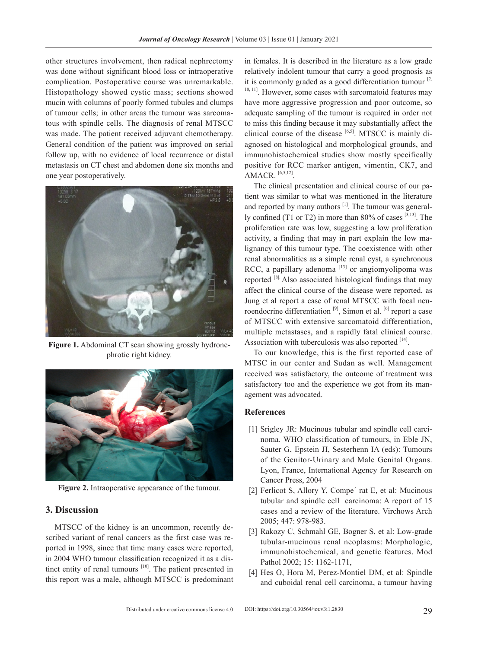other structures involvement, then radical nephrectomy was done without significant blood loss or intraoperative complication. Postoperative course was unremarkable. Histopathology showed cystic mass; sections showed mucin with columns of poorly formed tubules and clumps of tumour cells; in other areas the tumour was sarcomatous with spindle cells. The diagnosis of renal MTSCC was made. The patient received adjuvant chemotherapy. General condition of the patient was improved on serial follow up, with no evidence of local recurrence or distal metastasis on CT chest and abdomen done six months and one year postoperatively.



**Figure 1.** Abdominal CT scan showing grossly hydronephrotic right kidney.



**Figure 2.** Intraoperative appearance of the tumour.

## **3. Discussion**

MTSCC of the kidney is an uncommon, recently described variant of renal cancers as the first case was reported in 1998, since that time many cases were reported, in 2004 WHO tumour classification recognized it as a distinct entity of renal tumours <sup>[10]</sup>. The patient presented in this report was a male, although MTSCC is predominant

in females. It is described in the literature as a low grade relatively indolent tumour that carry a good prognosis as it is commonly graded as a good differentiation tumour  $[2, 2]$ <sup>10, 11</sup>]. However, some cases with sarcomatoid features may have more aggressive progression and poor outcome, so adequate sampling of the tumour is required in order not to miss this finding because it may substantially affect the clinical course of the disease [6,5]. MTSCC is mainly diagnosed on histological and morphological grounds, and immunohistochemical studies show mostly specifically positive for RCC marker antigen, vimentin, CK7, and AMACR. [6,5,12].

The clinical presentation and clinical course of our patient was similar to what was mentioned in the literature and reported by many authors <sup>[1]</sup>. The tumour was generally confined (T1 or T2) in more than  $80\%$  of cases  $^{[3,13]}$ . The proliferation rate was low, suggesting a low proliferation activity, a finding that may in part explain the low malignancy of this tumour type. The coexistence with other renal abnormalities as a simple renal cyst, a synchronous RCC, a papillary adenoma  $[13]$  or angiomyolipoma was reported [8]. Also associated histological findings that may affect the clinical course of the disease were reported, as Jung et al report a case of renal MTSCC with focal neuroendocrine differentiation<sup>[9]</sup>, Simon et al. <sup>[6]</sup> report a case of MTSCC with extensive sarcomatoid differentiation, multiple metastases, and a rapidly fatal clinical course. Association with tuberculosis was also reported  $[14]$ .

To our knowledge, this is the first reported case of MTSC in our center and Sudan as well. Management received was satisfactory, the outcome of treatment was satisfactory too and the experience we got from its management was advocated.

### **References**

- [1] Srigley JR: Mucinous tubular and spindle cell carcinoma. WHO classification of tumours, in Eble JN, Sauter G, Epstein JI, Sesterhenn IA (eds): Tumours of the Genitor-Urinary and Male Genital Organs. Lyon, France, International Agency for Research on Cancer Press, 2004
- [2] Ferlicot S, Allory Y, Compe' rat E, et al: Mucinous tubular and spindle cell carcinoma: A report of 15 cases and a review of the literature. Virchows Arch 2005; 447: 978-983.
- [3] Rakozy C, Schmahl GE, Bogner S, et al: Low-grade tubular-mucinous renal neoplasms: Morphologic, immunohistochemical, and genetic features. Mod Pathol 2002; 15: 1162-1171,
- [4] Hes O, Hora M, Perez-Montiel DM, et al: Spindle and cuboidal renal cell carcinoma, a tumour having